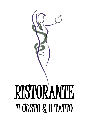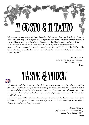

*"Il genere umano dura solo perché l'uomo ha l'istinto della conservazione e quello della riproduzione e sente vivissimo il bisogno di sodisfarvi. Alla sodisfazione di un bisogno và sempre unito un piacere e il piacere della conservazione si ha nel senso del gusto e quello della riproduzione nel senso del tatto. Se l'uomo non appetisse il cibo o non provasse stimoli sessuali, il genere umano finirebbe subito.*

*Il gusto e il tatto sono quindi i sensi più necessari, anzi indispensabili alla vita dell'individuo e della specie. Gli altri aiutano soltanto e si può vivere ciechi e sordi, ma non senza l'attività funzionale degli organi del gusto."*

> *Lorenzo Stecchetti prefazione da "La scienza in cucina e l'arte di mangiar bene" Artusi*

## TASTE & TOUCH



*"The humanity only lasts, because man has the instinct of conservation and of reproduction, and feels the need to satisfy these strongly. The satisfaction of a need is always tried to be connected with a pleasure, and pleasure combined with conservation occurs in the sense of taste and that of reproduction in the sense of touch. If man did not desire food or did not feel sexual stimulations, the human race would end at once.*

*The senses of taste and touch are hence the most essential senses, indeed indispensable to the life of the individual and the species. The other senses only help, and you can live blind and deaf, but not without the functional activity of the organs of taste."*

> *Lorenzo Stecchetti preface from "The Science of Cooking and the Art of Eating Well"*

 *Artusi*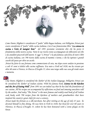

*Come Dante Alighieri è considerato il "padre" della lingua italiana, così Pellegrino Artusi può essere considerato il "padre" della cucina italiana. Con il suo famosissimo libro "La scienza in cucina e l'arte di mangiar bene" del 1891 possiamo veramente dire che ha posto le fondamenta della nostra cucina. Tutte le sue ricette erano accompagnate da riflessioni sul cibo e da aneddoti piacevoli dell'autore. E oggi "L'Artusi" è la più famosa e più letta di tutti i libri di cucina italiana, con 790 ricette dalla cucina di mamme e nonne, e che ha ispirato i grandi cuochi del paese per oltre un secolo.*

*Artusi ha fatto la sua fortuna come commerciante di seta, ma dopo essere andato in pensione a soli 45 anni si dedicò alla cucina raffinata. Era nato a Forlì nel 1820, ma ha vissuto per oltre 60 anni a Firenze, in Piazza d'Azeglio 35, dove una targa sulla sua casa gli rende onore e memoria.*

### ara

*Like Dante Alighieri is considered the "father" of the Italian language, Pellegrino Artusi can be considered the "father" of Italian cuisine. With his famous book "Science in the Kitchen and the Art of Eating Well" from 1891 we can indeed say that he has laid the foundation of our cuisine. All his recipes are accompanied by reflections on food and amusing anecdotes told by the author. And today "The Artusi" is the most famous and widely-read book of all Italian cook books with 790 recipes from the kitchens of mothers and grandmothers that have inspired the country's great chefs for over a century.* 

*Artusi made his fortune as a silk merchant, but after retiring at the age of only 45 year, he devoted himself to fine dining. He was born in Forlì in 1820, but lived for over 60 years in Florence, in Piazza d'Azeglio 35, where he has been honoured with a stone plaque on his house.*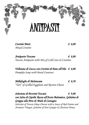# **ANTIPASTI**

*Crostini Misti € 6,00 Mixed Crostini*

*Antipasto Toscano € 8,00 Tuscan Antipasto with Mix of Cold Cuts & Crostino*

*Vellutata di Zucca con Crostini di Pane all'Olio € 8,00 Pumpkin Soup with Bread Croutons*

*Millefoglie di Melanzane € 8,50 "Tart" of Grilled Eggplant and Ricotta Cheese*

*Selezione di Pecorini Toscani € 9,00 con Salsa di Cipolla Rossa all'Aceto Balsamico, Gelatina di Grappa alla Pera & Miele di Castagno Selection of Tuscan Sheep Cheeses with a Sauce of Red Onions and Aromatic Vinegar, Gelatine of Pear Grappa & Chestnut Honey*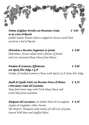

*Tomino Grigliato Avvolto con Prosciutto Crudo, € 9,00 su un Letto di Rucola Grilled Italian Tomino Cheese wrapped in Tuscan Cured Ham served on a bed of Rucola*

*Sbriciolona e Pecorino Stagionato in Grotta € 8,00 Sbriciolona, Tuscan salami with a flavour of fennel, and Cave-Seasoned Sheep Cheese from Pienza*

*Fonduta di Scamorza Affumicata € 8,00 con Speck Alto Adige I.G.P Fondue of Smoked Scamorza Chesse with Speck I.G.P. from Alto Adige*

### *Anelli di Cipolla Fritti con Pecorino Fresco di Pienza € 8,50 e Prosciutto Crudo del Casentino Deep-fried onion rings with Fresh Sheep Cheese and Cured Ham from Casentino*

*Antipasto del Cacciatore con Salumi Misti di Cacciagione, € 9,50 Stufato di Cinghiale e Olive Farcite The Hunter's Antipasto with variety of Cold Cuts of Game, Stewed Wild Boar and Stuffed Olives*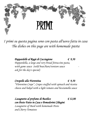

*I primi su questa pagina sono con pasta all'uovo fatta in casa The dishes on this page are with homemade pasta*

> *Pappardelle al Ragù di Cacciagione € 9,50 Pappardella, a large and very broad fettuccine pasta,*  with game sauce (wild boar/hare/venison sauce *ask for the day's special)*

*Crespelle alla Fiorentina € 9,50 "Florentine Crepe", Crepes stuffed with spinach and ricotta cheese and baked with a light tomato and besciamella sauce*

*Lasagnette al profumo di Basilico € 12,00 con Pesto Fatto in Casa e Pomodorini Ciliegini Lasagnette of Basil with homemade Pesto and Cherry Tomatoes*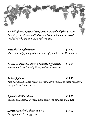

*Ravioli Ricotta e Spinaci con Salvia e Granella di Noci € 9,00 Ravioli, pasta stuffed with Ricotta Cheese and Spinach, served with the herb Sage and Grains of Walnuts* 

*Riccioli ai Funghi Porcini € 9,50 Short and curly fresh pasta in a sauce of fresh Porcini Mushrooms*

*Risotto al Radicchio Rosso e Pancetta Affumicata € 8,50 Risotto with red-leaved Chicory and smoked Bacon*

*Pici all'Aglione € 8,50 Pici, pasta traditionally from the Siena-area, similar to thick spaghetti, in a garlic and tomato sauce*

*Ribollita all'Olio Nuovo € 8,00 Tuscan vegatable soup made with beans, red cabbage and bread*

*Lasagne con sfoglia fresca all'uovo € 9,00 Lasagne with fresh egg pasta*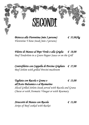## **SECONDI**

*Bistecca alla Fiorentina (min 2 persone) € 35,00/kg Florentine T-bone Steak (min 2 persons)*

*Filetto di Manzo al Pepe Verde o alla Griglia € 18,00 Beef Tenderloin in a Green Pepper Sauce or on the Grill*

*Controfiletto con Cappella di Porcino Grigliato € 17,00 Beef Sirloin with grilled Porcini-mushroom*

*Tagliata con Rucola e Grana o € 13,00 all'Aceto Balsamico o al Rosmarino Sliced Grilled Sirloin Steak served with Rucola and Grana Cheese or with Aromatic Vinegar or with Rosemary*

*Straccetti di Manzo con Rucola € 11,00 Strips of Beef cooked with Rocket*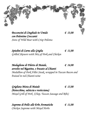

*Bocconcini di Cinghiale in Umido € 13,00 con Polentine Croccanti Stew of Wild Boar with Crisp Polenta*

*Spiedini di Carne alla Griglia € 11,00 Grilled Skewers with Mix of Pork and Chicken*

*Medaglione di Filetto di Maiale, € 14,00 avvolto nel Rigatino, e brasato al Chianti Medallion of Pork Fillet Steak, wrapped in Tuscan Bacon and braised in red Chianti-wine*

*Grigliata Mista di Maiale € 15,00 (bistecchina, salsiccia e rosticciana) Mixed Grill of Pork (Chop, Tuscan Sausage and Ribs)*

*Supreme di Pollo alle Erbe Aromatiche € 11,00 Chicken Supreme with Mixed Herbs*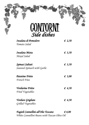| CONTORNI                    |        |
|-----------------------------|--------|
| Insalata di Pomodoro        | € 2,50 |
| Tomato Salad                |        |
| Insalata Mista              | € 3,50 |
| Mixed Salad                 |        |
| Spinaci Saltati             | € 3,50 |
| Sauteed Spinach with Garlic |        |
| <b>Patatine Fritte</b>      | € 3,00 |
| <b>French Fries</b>         |        |
| <i>Verdurine Fritte</i>     | € 4,50 |
| Fried Vegetables            |        |
| Verdure Grigliate           | € 4,50 |
| Grilled Vegetables          |        |

*Fagioli Cannellini all'Olio Toscano € 4,00 White Cannellini Beans with Tuscan Olive Oil*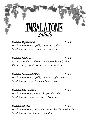

*Insalata Vegetariana € 6,00 Insalata, pomodoro, cipolla, carote, mais, olive Salad, tomato, onion, carrot, sweet corn, olive*

*Insalata Fantasia € 8,00 Rucola, pomodorini ciliegini, carote, cipolle, noci, olive Rucola, cherry tomato, carrot, onion, walnut, olive*

*Insalata Profumo di Mare € 8,50 Insalata, pomodoro, cipolla, tonno, acciughe, capperi Salad, tomato, onion, tuna, anchovies, capers*

*Insalata del Contadino € 8,50 Insalata, pomodoro, mozzarella, pecorino, olive Salad, tomato, mozzarella, sheep cheese, olive*

*Insalata al Pollo € 8,50 Insalata, pomodoro, carote, bocconcini di pollo, crostini di pane Salad, tomato, carrot, chicken, croutons*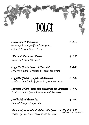

| Cantuccini & Vin Santo                                             |  | $\epsilon$ 3,50 |  |
|--------------------------------------------------------------------|--|-----------------|--|
| Tuscan Almond Cookies & Vin Santo,                                 |  |                 |  |
| a Sweet Tuscan Dessert Wine                                        |  |                 |  |
| "Shotino" di gelato al limone                                      |  | $\epsilon$ 2,50 |  |
| "Shot" of Lemon Ice-Cream                                          |  |                 |  |
| Coppetta Gelato Crema & Cioccolato                                 |  | € 4,00          |  |
| Ice dessert with Chocolate & Cream Ice-cream                       |  |                 |  |
| Coppetta Gelato Affogato all'Amarena                               |  | $\epsilon$ 4,00 |  |
| Ice dessert with Black Cherry in Cream Ice-cream                   |  |                 |  |
| Coppetta Gelato Crema alla Fiorentina con Amaretti $\epsilon$ 4,00 |  |                 |  |
| Ice dessert with Cream Ice-cream and Amaretti                      |  |                 |  |
| Semifreddo al Torroncino                                           |  | € 4,00          |  |
| Almond Nougat Semifreddo                                           |  |                 |  |

*"Pinolato", matonella di Gelato alla Crema con Pinoli € 3,50 "Brick" of Cream Ice-cream with Pine Nuts Continua … / continues ...*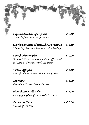| € 3,50          | Cupolina di Gelato agli Agrumi                                                                                   |  |
|-----------------|------------------------------------------------------------------------------------------------------------------|--|
|                 |                                                                                                                  |  |
| € 3,50          | Cupolina di Gelato al Pistacchio con Meringa<br>"Dome" of Pistachio Ice-cream with Meringue                      |  |
| € 4,00          | Tartufo Bianco o Nero<br>"Bianco": Cream Ice-cream with a coffee heart<br>or "Nero": Chocolate truffle Ice-cream |  |
| 4,50            | Tartufo Affogato<br>Tartufo Bianco or Nero drowned in Coffee                                                     |  |
| € 4,00          | Limoncino<br>Refreshing Frozen Lemon Dessert                                                                     |  |
| $\epsilon$ 3,50 | Flute di Limoncello Gelato<br>Champagne-Glass of Limoncello Ice-Cream                                            |  |
| $da \in 3,50$   | Dessert del Giorno<br>Dessert of the Day                                                                         |  |
|                 | "Dome" of Ice-cream of Citrus Fruits                                                                             |  |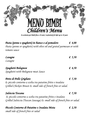

*In esclusiva per bimbi fino a 10 anni / exclusively for kids up to 10 years*

*Pasta (penne o spaghetti) in bianco o al pomodoro € 4,00 Pasta (penne or spaghetti) with olive oil and grated parmesan or with tomato sauce*

| Lasagne | $\epsilon$ 5,50 |
|---------|-----------------|
| Lasagne |                 |
|         |                 |

*Spaghetti Bolognese € 4,50 Spaghetti with Bolognese meat Sauce* 

*Petto di Pollo Grigliato € 7,50 & piccolo contorno a scelta tra patatine fritte e insalata Grilled Chicken Breast & small side of french fries or salad.*

*Salsiccia Toscana € 7,50 & piccolo contorno a scelta tra patatine fritte e insalata Grilled Salsiccia (Tuscan Sausage) & small side of french fries or salad.*

*Piccolo Contorno di Patatine o Insalata Mista € 2,50 small side of french fries or salad*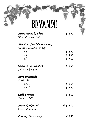## BEVANDE

| Acqua Minerale, 1 litro          | $\epsilon$ 1,50 |
|----------------------------------|-----------------|
| Mineral Water, 1 liter           |                 |
| Vino della Casa (bianco o rosso) |                 |
| House wine (white or red)        |                 |
| $\frac{1}{4}$ $\int$             | $\epsilon$ 2,50 |
| $\frac{1}{2}$ $\int$             | € 4,00          |
| 1 <sup>2</sup>                   | $\epsilon$ 7,00 |
| Bibita in Lattina (0,33 l)       | $\epsilon$ 2,00 |
| Soft Drink in Can                |                 |
| Birra in Bottiglia               |                 |
| <b>Bottled Beer</b>              |                 |
| $0,33 \; f$                      | $\epsilon$ 2,50 |
| 0,66f                            | $\epsilon$ 3,50 |
| Caffé Espresso                   | $\epsilon$ 1,00 |
| <b>Espresso</b> Coffee           |                 |
| Amari & Digestivi                | $da \in 2,00$   |
| Bitters & Liquers                |                 |
| <b>Coperto,</b> Cover charge     | $\epsilon$ 1,50 |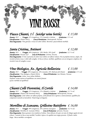## VINT ROSSI

### *Fiasco Chianti, 1 l (wicker wine bottle) € 15,00*

*Annata: 2015 - Uvaggio: 85% Sangiovese, 15% Canaiolo e Colorino - Gradazione: 13 % vol. Classificazione: Chianti DOCG - Zona di Produzione: Montespertoli, Toscana Note Degustative: Vino giovane e vivace di colore rubino. Beverino e piacevolmente morbido.*

### *Santa Cristina, Antinori € 12,00*

*Annata: 2015 - Uvaggio: 60% Sangiovese , 20% Merlot, 20% Syrah - Gradazione: 12,5 % vol. Classificazione: Toscana IGT - Zona di Produzione: Cortona, Toscana Note Degustative: Il vino si presenta di colore rosso rubino con riflessi violacei. Ha un profumo intenso, ampio, che ricorda la frutta rossa e i dolci alla vaniglia. In bocca è fresco, morbido, equilibrato con un retrogusto complesso che ricorda le note di vaniglia e cacao.*

### *Vino Biologico, Az. Agricola Bellavista € 13,00*

*Annata: 2015 - Uvaggio: 80% Sangiovese, 10% Canaiolo, 10% Malvasia del Chianti - Gradazione: 13 % vol. Classificazione: Vino Biologico, Chianti DOCG - Zona di Produzione: San Miniato, Toscana Note Degustative: Colore: rosso rubino brillante, Profumo: aroma intenso ed equilibrato con sentori fruttati Gusto: morbido ed equilibrato*

### *Chianti Colli Fiorentini, Il Cortile € 14,00*

*Annata: 2013 - Uvaggio: 85% Sangiovese, 15% Ciliegiolo e Colorino - Gradazione: 13,5 % vol. Classificazione: Chianti Colli Fiorentini DOCG - Zona di Produzione: Montespertoli, Toscana Note Degustative: Color rubino con riflessi porpora, aromi floreali che si aprono a sentori fruttati, equilibrio fra componenti tanniche ed alcooliche. Finale lungo ed elegante.*

### *Morellino di Scansano, Grillesino Battiferro € 16,00*

*Annata: 2013 - Uvaggio: 90% Sangiovese, 10% Cabernet Sauvignon - Gradazione: 13,5 % vol. Classificazione: Morellino di Scansano DOCG - Zona di Produzione: Grosseto, Toscana Note Degustative: Rosso granato vivo tendente al rubino. Naso delicato che apre con note di ciliegia seguite da toni erbacei. I tannini in bocca sono morbidi, l'acidità è tipica e la sapidità non troppo presente. Il finale è molto lungo. Bocca morbida e avvolgente*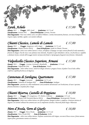### *Syrah, Achelo € 17,00*

*Annata: 2015 - Uvaggio: 100% Syrah - Gradazione: 14,5 % vol. Classificazione: Cortona DOC - Zona di Produzione: Cortona, Toscana Note Degustative: Vino rosso rubino carico con riflessi brillanti. L'aroma intensamente fruttato, con note di lamponi e ribes. Il gusto ampio, morbido, sapido e con tannini vellutati.*

### *Chianti Classico, Lamole di Lamole € 17,00*

*Annata: 2012 - Uvaggio: Sangiovese e altri vitigni - Gradazione: 13,5 % vol. Classificazione: Chianti Classico DOCG - Zona di Produzione: Gaiole in Chianti, Toscana Note Degustative: Colore rosso rubino intenso e vivace, all'olfatto si dispiega con tipici sentori floreali di viola mammola e fruttati di ciliegia e bacche rosse e una sfumata nota minerale. Al palato si apre immediato e deciso, con freschezza e sapidità a dominare la fase centrale dell'assaggio mentre nel piacevole finale si ripropongono fragranti note fruttate e balsamiche*

### *Valpolicella Classico Superiore, Armani € 17,00*

*Annata: 2014 - Uvaggio: Corvina, Corvinone e Rondinella - Gradazione: 13 % vol. Classificazione: Valpolicella DOC - Zona di Produzione: Veneto Note Degustative: colore rubino vivace, sentori di ciliegia selvatica e prugna al naso; al palato l'uva di alta collina conferisce sapidità,freschezza ed eleganza.*

### *Cannonau di Sardegna, Quartomoro € 17,00*

*Annata: 2015 - Uvaggio: Cannonau - Gradazione: 14,5 % vol. Classificazione: Cannonau di Sardegna DOC - Zona di Produzione: Sardegna Note Degustative: presenta un colore mediamente carico,tendente all'aranciato con l'evoluzione; al naso è speziato, fruttato,balsamico e al palato fine e lungo.*

### *Chianti Riserva, Castello di Poppiano € 18,00*

*Annata: 2013 - Uvaggio: 85% Sangiovese, 15% Merlot e Cabernet - Gradazione: 14 % vol. Classificazione: Chianti Colli Fiorentini Riserva DOCG - Zona di Produzione: Montespertoli, Toscana Note Degustative: Colore rosso rubino intenso con riflessi granati, bouquet evoluto e complesso. Struttura intensa ed elegante con tannini vellutati ben armonizzati con la componente alcoolica. Piacevole finale lungo e bilanciato*

### *Nero d'Avola, Terre di Giurfo € 18,00*

*Annata: 2013 - Uvaggio: Nero d'Avola - Gradazione: 13,5 % vol. Classificazione: Nero d'Avola DOC - Zona di Produzione: Sicilia Note Degustative: colore rosso rubino intenso. Profumo caratteristico del vitigno, con note di bacca rossa e frutta matura. Sapore pieno, giustamente tannico ed armonico.*

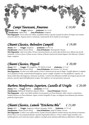### *Campi Taurasani, Amarano € 18,00*

 *Annata: 2010 - Uvaggio: Aglianico - Gradazione: 14,5 % vol. Classificazione: Irpinia DOC - Zona di Produzione: Campania Note Degustative: ha un colore rosso rubino, un profumo intenso e speziato in grado di evolvere nel tempo verso svariate sensazioni olfattive. Al gusto è fresco e strutturato, caratteristiche che lo rendono un vino longevo.*

### *Chianti Classico, Belvedere Campòli € 19,00*

*Annata: 2015 - Uvaggio: Sangiovese - Gradazione: 14,50 % vol. Classificazione: Chianti Classico DOCG - Zona di Produzione: Montespertoli, Toscana Note Degustative: colore rosso rubino. Al naso si presenta fruttato con sentori tipici di frutti rossi e delicate note di erbe aromatiche. In bocca è fresco, il frutto succoso e intenso, di buona struttura dai tannini eleganti e ben bilanciati. Il finale è lungo e complesso.*

### *Chianti Classico, Pèppoli € 20,00*

*Annata: 2015 - Uvaggio: 90% Sangiovese, 10% Merlot & Syrah - Gradazione: 13 % vol. Classificazione: Chianti Classico DOCG - Zona di Produzione: San Casciano V.P, Toscana Note Degustative: Di colore rosso rubino intenso, al naso è caratterizzato da note di ciliegia. Il profilo olfattivo si completa con le sfumature di viola, caratteristiche del Sangiovese, spezie e vaniglia. Al palato è un vino equilibrato e saporito, con buona acidità tipica del Sangiovese e dotazione zuccherina. I tannini sono abbastanza morbidi, nel retrogusto spiccano note fruttate e speziate tipiche dell'affinamento in legno. Nel complesso è un vino persistente e piacevole.*

### *Barbera Monferrato Superiore, Castello di Uviglie € 20,00*

*Annata: 2014 - Uvaggio: Barbera - Gradazione: 14 % vol. Classificazione: Barbera del Monferrato Superiore DOCG - Zona di Produzione: Piemonte Note Degustative: colore: rosso rubino tendente al rosso granato con l'invecchiamento. Odore: intenso e caratteristico, tendente all'etereo con l'invecchiamento. Sapore: asciutto tranquillo, di corpo, con adeguato invecchiamento più armonico, gradevole, di gusto pieno.*

### *Chianti Classico, Lamole "Etichetta Blu" € 21,00*

*Annata: 2012 - Uvaggio: Sangiovese, Cabernet Sauvignon, Merlot - Gradazione: 13,5 % vol. Classificazione: Chianti Classico DOCG - Zona di Produzione: Gaiole in Chianti, Toscana Note Degustative: Il colore è rosso rubino intenso, le prime sensazioni olfattive rivelano marcate note fruttate di amarena e frutti di bosco con una aromaticità floreale e speziata di particolare dolcezza. In bocca risalta l'ampia rotondità e una tattilità glicerica con il centro bocca pieno e polposo e un finale ancora dominato dalla dolcezza della frutta e delle spezie.*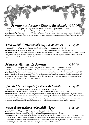### *Morellino di Scansano Riserva, Mandorlaia € 21,00*

*Annata: 2012 - Uvaggio: 85% Sangiovese, 15% Alicante e Cabernet - Gradazione: 14,5 % vol. Classificazione: Morellino di Scansano DOCG - Zona di Produzione: Scansano, Toscana Note Degustative: Intrigante intensità del colore rubino con riflessi purpurei con lieve tendenza al granato. Complessi sentori di cuoio, tabacco e frutti di bacca nera. Corpo notevole sostenuto da tannini strutturati e sericei, lungo finale con lievi note speziate.*

### *Vino Nobile di Montepulciano, La Braccesca € 22,00*

*Annata: 2013 - Uvaggio: 90% Prugnolo Gentile, 10% Merlot - Gradazione: 13,5 % vol. Classificazione: Vino Nobile di Montepulciano DOCG - Zona di Produzione: Montepulciano, Toscana Note Degustative: Di colore rosso rubino acceso, al naso presenta note fresche e floreali, di violetta, ribes rosso e mora, il tutto amalgamato con leggeri sentori di cannella. Al palato risulta dolce e minerale; le note di frutta percepite al naso si uniscono a leggere note speziate. Lungo e persistente nel finale.*

### *Maremma Toscana, Le Mortelle € 24,00*

*Annata: 2013 - Uvaggio: 60% Cabernet Sauvignon, 40% Cabernet Franc - Gradazione: 13 % vol. Classificazione: Maremma Toscana DOC - Zona di Produzione: Castiglione della Pescaia, Toscana Note Degustative: Alla vista si presenta di un colore rosso intenso e all'olfatto spiccano le note di cioccolato e ciliegia. L'aroma è ricco e complesso, dominato dai frutti di bosco che si uniscono a sentori floreali e di eucalipto. Al palato il vino è morbido e largo, con un finale vibrante di piacevole freschezza dato dal Cabernet Franc. Anche nel retrogusto si avvertono gli aromi fruttati insieme a leggere note di tabacco fresco e menta.*

### *Chianti Classico Riserva, Lamole di Lamole € 26,00*

*Annata: 2012 - Uvaggio: Sangiovese, Canaiolo - Gradazione: 13,5 % vol. Classificazione: Chianti Classico DOCG Riserva - Zona di Produzione: Gaiole in Chianti, Toscana Note Degustative: Colore rubino intenso con sfumature granato, al naso dispiega in modo progressivo note floreali, fruttate, speziate e minerali in un complesso aromatico affascinante e coinvolgente nella sua ricchezza e visceralità. In bocca l'austera composizione tannica del Sangiovese ci riporta alla tradizione grazie a una dinamica gustativa dove convivono calore e freschezza, sapidità e mineralità, articolazione aromatica e profondità, finezza e potenza, centralità e sfumature.*

### *Rosso di Montalcino, Pian delle Vigne € 26,00*

*minerale e sapido, che esalta anche in bocca i sentori presenti al naso di frutta matura.*

*Annata: 2014 - Uvaggio: 100% Sangiovese - Gradazione: 13,5 % vol. Classificazione: Rosso di Montalcino DOC - Zona di Produzione: Montalcino, Toscana Note Degustative: Di colore rosso rubino brillante, esprime al naso note di frutta matura, confettura di mele cotogne e prugne miste a note floreali tipiche del Sangiovese e note tostate derivanti dalla maturazione in legno. Al palato si presenta in tutta la sua piacevolezza, morbido, con tannini vivi ma setosi. La sua freschezza e vivacità di gusto sono esaltate da un retrogusto*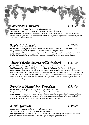### *Supertuscan, Historia € 26,00*

*Annata: 2012 - Uvaggio: Merlot - Gradazione: 14,5 % vol. Classificazione: Toscana IGT - Zona di Produzione: Montespertoli, Toscana Note Degustative: Grande struttura ed eleganza con una piacevole morbidezza fruttata. Un vino equilibrato ed armonico con buona freschezza e un tannino maturo e morbido. Lunga e intensa persistenza aromatica con finale di prugna avvolta dalle note balsamiche.*

### *Bolgheri, Il Bruciato € 27,00*

*Annata: 2015 - Uvaggio: 55% Cabernet Sauvignon, 30% Merlot, 15% Syrah - Gradazione: 13 % vol. Classificazione: Bolgheri DOC Superiore - Zona di Produzione: Bolgheri, Toscana Note Degustative: Al naso è ricco e attraente, con note di spezie dolci, caffe tostato e piccoli frutti rossi maturi. Al palato il vino risulta fine ed equilibrato, di buona persistenza e dal retrogusto piacevolmente fruttato.*

### *Chianti Classico Riserva, Villa Antinori € 28,00*

*Annata: 2013 - Uvaggio: 90% Sangiovese, 10% Cabernet - Gradazione: 13,5 % vol. Classificazione: Chianti Classico DOCG Riserva - Zona di Produzione: San Casciano V.P, Toscana Note Degustative: ha un colore rosso rubino intenso. Al naso spiccano note di piccoli frutti rossi, ribes e lampone che ben si amalgamano alle note di ciliegia. Un leggero boisè sfuma nelle note speziate di cannella e canditi. Al palato ha un ingresso armonico, rotondo con una leggera presenza acidica, tipica del Sangiovese e del territorio di provenienza. I tannini setosi ma allo stesso tempo vibranti, lo rendono molto piacevole nel finale. Il retrogusto fruttato e le note boisè perdurano nel tempo.*

### *Brunello di Montalcino, FornaCella € 32,00*

*Annata: 2012 - Uvaggio: 100% Sangiovese - Gradazione: 14,5 % vol. Classificazione: Brunello di Montalcino DOCG - Zona di Produzione: Montalcino, Toscana Note Degustative: Rosso rubino tendente al granato. I sentori fruttati di marasca e ribes si armonizzano al naso insieme a toni speziati e sfumature vanigliate. La bocca si esprime in maniera distinta ed elegante, risultando dominata da tannini ancora energici, e leggermente sapida e minerale in chiusura.*

### *Barolo, Ginestra € 39,00*

*Annata: 2012 - Uvaggio: Nebbiolo - Gradazione: 14,5 % vol. Classificazione: Barolo DOCG - Zona di Produzione: Piemonte Note Degustative: vino ottenuto dal Cru Ginestra. Il colore è rosso granato e il profumo elegante esalta le note fruttate persistenti, speziate, balsamiche e minerali. Al palato il sapore è pieno e importante*

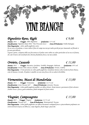## VINI BIANCHI

### *Pignoletto Reno, Righi € 9,00*

*Annata: 2014 - Uvaggio: 100% Pignoletto - Gradazione: 11 % vol. Classificazione: Pignoletto Reno DOC Vino Frizzante Secco - Zona di Produzione: Emilia Romagna Note Degustative: colore: giallo paglierino carico Ha un sacco di profumo, si sente subito il fiore di campo ma non per molto perché poi pur rimanendo sul floreale si fa tutto più delicato. Il gusto è pieno, a dispetto della sua frizzantezza il palato sente subito un calore particolare ed un tocco di frutta, che cede il morso solo nel finale dove diventa finalmente fresco, ma mai acidulo.*

### *Orvieto, Casasole € 11,00*

*Annata: 2014 - Uvaggio: Procanico, Grechetto, Verdello, Drupeggio, Malvasia - Gradazione: 10 % vol. Classificazione: Orvieto DOC Classico Amabile - Zona di Produzione: Orvieto, Umbria Note Degustative: Il vino presenta un colore giallo paglierino, il profumo intenso e fine ricorda la frutta bianca, come la banana e la mela. Al palato è amabile con una nota fresca che ne esalta la bevibilità.*

### *Vermentino, Massi di Mandorlaia € 13,00*

*Annata: 2015 - Uvaggio: Vermentino - Gradazione: 13,5 % vol. Classificazione: Costa Toscana IGT - Zona di Produzione: Grosseto, Toscana Note Degustative: Colore giallo paglierino pallido con riflessi dorati. Aromi intensi e persistenti di fiori selvatici. Acidità vivace e fresca, gusto armonioso, finale intrigante di frutti esotici.*

### *Viognier, Camposegreto € 15,00*

*Annata: 2015 - Uvaggio: Viognier - Gradazione: 13,5 % vol. Classificazione: Toscana IGT - Zona di Produzione: Montespertoli, Toscana Note Degustative: Colore giallo paglierino con riflessi lievemente verdognoli fresco e piacevolmente profumato con sentori fruttati di pesca ed albicocca, corpo elegante, finale lungo e piacevole.*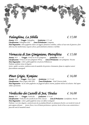

*Annata: 2016 - Uvaggio: Falanghina - Gradazione: 12 % vol. Classificazione: Falanghina DOC - Zona di Produzione: Campania Note Degustative: colore paglierino chiaro con leggera sfumatura verdolina, esibisce al naso note di ginestra e fiori della macchia mediterranea; il gusto è fresco, particolarmente armonico e morbido.*

### *Vernaccia di San Gimigniano, Pietrafitta € 15,00*

*Annata: 2015 - Uvaggio: Vernaccia di San Gimignano - Gradazione: 13 % vol. Classificazione: Vernaccia di San Gimignano DOCG - Zona di Produzione: San Gimignano, Toscana Note Degustative: Colore: giallo paglierino con precisa brillantezza Profumo: profumo tenue ed elegante Gusto: sapido e asciutto, evidenzia netta la mandorla che persiste e lentamente sfuma in complessi sentori piacevolmente amarognoli*

### *Pinot Grigio, Komjanc € 16,00*

*Annata: 2015 - Uvaggio: Pinot Grigio - Gradazione: 13,5 % vol. Classificazione: Pinot Grigio Collio DOC - Zona di Produzione: Friuli Venezia Giulia Note Degustative: ha un colore paglierino con fuggevoli riflessi cinerini, profumo intenso ed esclusivo. Dal sapore solido e persistente.*

### *Verdicchio dei Castelli di Jesi, Titulus € 16,00*

*Annata: 2015 - Uvaggio: Verdicchio - Gradazione: 13 % vol. Classificazione: Verdicchio dei Castelli di Jesi DOC Classico - Zona di Produzione: Castelplanio, Marche Note Degustative: Colore: giallo paglierino tenue con riflessi verdognoli*

*Profumo: è un vino elegante, caratterizzato da un profumo floreale con sfumature fresche e un ricordo di crosta di pane appena sfornato - Gusto: fresco, ricco di buona persistenza e spessore, lascia in bocca una caratteristica e piacevole nota di mandorla amara*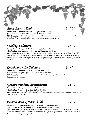### *Pinot Bianco, Zeni € 16,00*

*Annata: 2016 - Uvaggio: Pinot Bianco - Gradazione: 13 % vol. Classificazione: Pinot Bianco DOC - Zona di Produzione: Trentino Note Degustative: colore giallo paglierino con tenui riflessi verdolini, il profumo è delicatamente fruttato e fragrante di vaniglia, il gusto è secco ed equilibrato con un retrogusto lievemente amarognolo.*

### *Riesling, Calatroni € 17,00*

*Annata: 2015 - Uvaggio: Riesling Renano - Gradazione: 13 % vol. Classificazione: Riesling Renano DOC - Zona di Produzione: Lombardia Note Degustative: prodotto vinificato solamente uve Riesling Renano, si presenta con tipici profumi eleganti del vitigno e una marcata acidità donata dal terreno. Colore giallo paglierino con riflesso dorati, profumo inizialmente fruttato, si evolve con il tempo in profumi più complessi tipici del vitigno. Sapore teso, fresco con ottima persistenza al palato.* 

### *Chardonnay, La Cadalora € 18,00*

*Annata: 2015 - Uvaggio: Chardonnay - Gradazione: 13 % vol. Classificazione: Vallagarina IGT - Zona di Produzione: Trentino Note Degustative: profumi di fiori di campo e pietra focaia. Sapore secco, mediamente acido, di grande rotondità, con buona persistenza e intensità*

### *Gewurztraminer, Rottensteiner € 18,00*

*Annata: 2016 - Uvaggio: Traminer - Gradazione: 14 % vol. Classificazione: Bianco - Zona di Produzione: Alto Adige Note Degustative: colore giallo paglierino tendente al giallo oro, al naso spiccatamente aromatico speziato, di sapore pieno e secco, fresco, gradevole.*

### *Pomino Bianco, Frescobaldi € 19,00*

*Annata: 2015 - Uvaggio: Chardonnay, Pinot Bianco - Gradazione: 13 % vol. Classificazione: Pomino Bianco DOC - Zona di Produzione: Rùfina, Toscana Note Degustative: colore giallo paglierino con tenui riflessi verdognoli. Al naso si avvertono note floreali, mughetto in evidenza, e fruttate di mela e maracuja. Minerale e fresco, sul finale emergono sentori delicati di scorza di cedro e fichi. In bocca è molto fresco, appagante e lungo.*